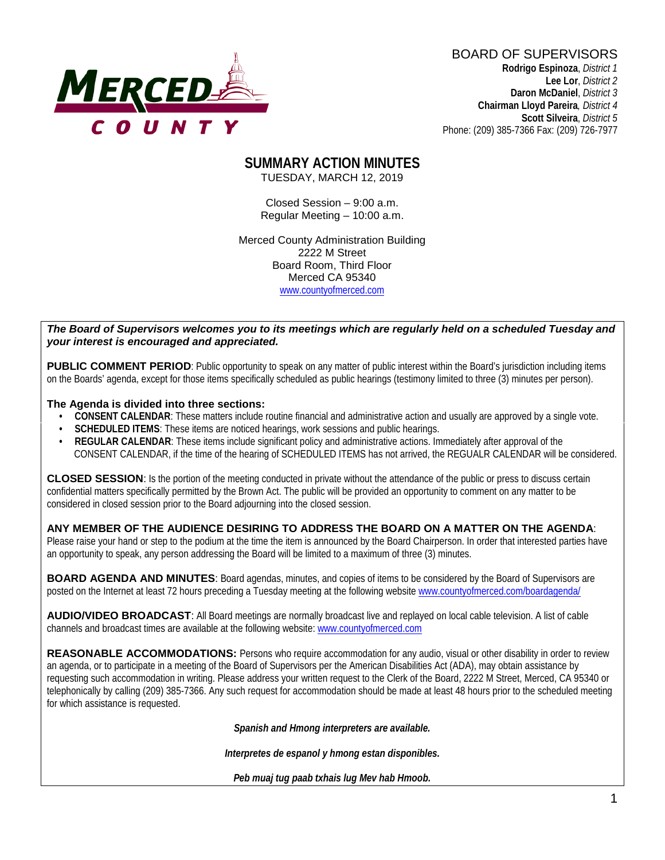

BOARD OF SUPERVISORS **Rodrigo Espinoza**, *District 1*  **Lee Lor**, *District 2*  **Daron McDaniel**, *District 3* **Chairman Lloyd Pareira***, District 4*

 **Scott Silveira**, *District 5* Phone: (209) 385-7366 Fax: (209) 726-7977

#### **SUMMARY ACTION MINUTES** TUESDAY, MARCH 12, 2019

Closed Session – 9:00 a.m. Regular Meeting – 10:00 a.m.

Merced County Administration Building 2222 M Street Board Room, Third Floor Merced CA 95340 www.countyofmerced.com

#### *The Board of Supervisors welcomes you to its meetings which are regularly held on a scheduled Tuesday and your interest is encouraged and appreciated.*

**PUBLIC COMMENT PERIOD:** Public opportunity to speak on any matter of public interest within the Board's jurisdiction including items on the Boards' agenda, except for those items specifically scheduled as public hearings (testimony limited to three (3) minutes per person).

#### **The Agenda is divided into three sections:**

- **CONSENT CALENDAR**: These matters include routine financial and administrative action and usually are approved by a single vote.
- **SCHEDULED ITEMS:** These items are noticed hearings, work sessions and public hearings.
- **REGULAR CALENDAR**: These items include significant policy and administrative actions. Immediately after approval of the CONSENT CALENDAR, if the time of the hearing of SCHEDULED ITEMS has not arrived, the REGUALR CALENDAR will be considered.

**CLOSED SESSION**: Is the portion of the meeting conducted in private without the attendance of the public or press to discuss certain confidential matters specifically permitted by the Brown Act. The public will be provided an opportunity to comment on any matter to be considered in closed session prior to the Board adjourning into the closed session.

#### **ANY MEMBER OF THE AUDIENCE DESIRING TO ADDRESS THE BOARD ON A MATTER ON THE AGENDA**:

Please raise your hand or step to the podium at the time the item is announced by the Board Chairperson. In order that interested parties have an opportunity to speak, any person addressing the Board will be limited to a maximum of three (3) minutes.

**BOARD AGENDA AND MINUTES:** Board agendas, minutes, and copies of items to be considered by the Board of Supervisors are posted on the Internet at least 72 hours preceding a Tuesday meeting at the following website [www.countyofmerced.com/boardagenda/](http://www.countyofmerced.com/boardagenda/) 

**AUDIO/VIDEO BROADCAST**: All Board meetings are normally broadcast live and replayed on local cable television. A list of cable channels and broadcast times are available at the following website[: www.countyofmerced.com](http://www.countyofmerced.com/)

**REASONABLE ACCOMMODATIONS:** Persons who require accommodation for any audio, visual or other disability in order to review an agenda, or to participate in a meeting of the Board of Supervisors per the American Disabilities Act (ADA), may obtain assistance by requesting such accommodation in writing. Please address your written request to the Clerk of the Board, 2222 M Street, Merced, CA 95340 or telephonically by calling (209) 385-7366. Any such request for accommodation should be made at least 48 hours prior to the scheduled meeting for which assistance is requested.

*Spanish and Hmong interpreters are available.*

*Interpretes de espanol y hmong estan disponibles.*

*Peb muaj tug paab txhais lug Mev hab Hmoob.*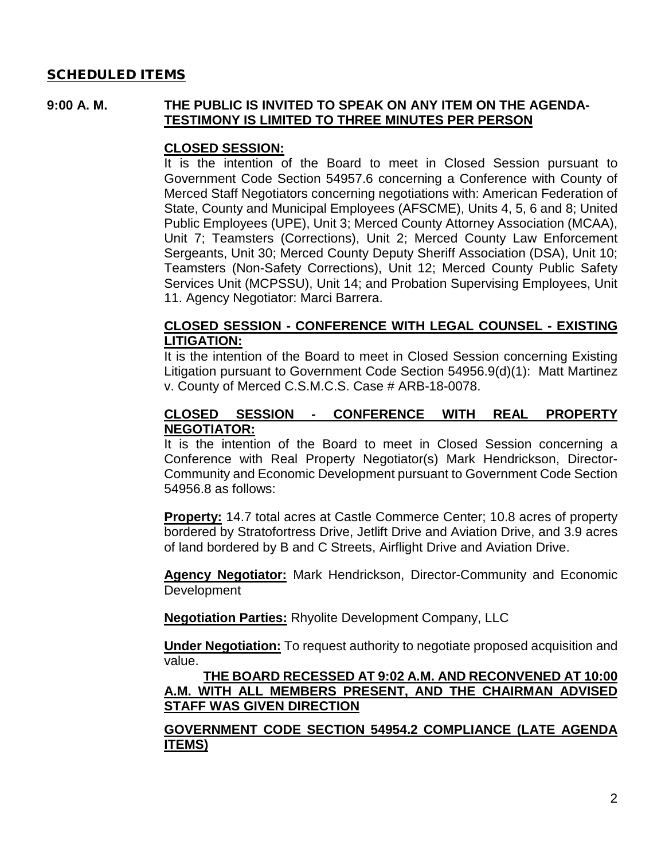### SCHEDULED ITEMS

#### **9:00 A. M. THE PUBLIC IS INVITED TO SPEAK ON ANY ITEM ON THE AGENDA-TESTIMONY IS LIMITED TO THREE MINUTES PER PERSON**

#### **CLOSED SESSION:**

It is the intention of the Board to meet in Closed Session pursuant to Government Code Section 54957.6 concerning a Conference with County of Merced Staff Negotiators concerning negotiations with: American Federation of State, County and Municipal Employees (AFSCME), Units 4, 5, 6 and 8; United Public Employees (UPE), Unit 3; Merced County Attorney Association (MCAA), Unit 7; Teamsters (Corrections), Unit 2; Merced County Law Enforcement Sergeants, Unit 30; Merced County Deputy Sheriff Association (DSA), Unit 10; Teamsters (Non-Safety Corrections), Unit 12; Merced County Public Safety Services Unit (MCPSSU), Unit 14; and Probation Supervising Employees, Unit 11. Agency Negotiator: Marci Barrera.

#### **CLOSED SESSION - CONFERENCE WITH LEGAL COUNSEL - EXISTING LITIGATION:**

It is the intention of the Board to meet in Closed Session concerning Existing Litigation pursuant to Government Code Section 54956.9(d)(1): Matt Martinez v. County of Merced C.S.M.C.S. Case # ARB-18-0078.

### **CLOSED SESSION - CONFERENCE WITH REAL PROPERTY NEGOTIATOR:**

It is the intention of the Board to meet in Closed Session concerning a Conference with Real Property Negotiator(s) Mark Hendrickson, Director-Community and Economic Development pursuant to Government Code Section 54956.8 as follows:

**Property:** 14.7 total acres at Castle Commerce Center; 10.8 acres of property bordered by Stratofortress Drive, Jetlift Drive and Aviation Drive, and 3.9 acres of land bordered by B and C Streets, Airflight Drive and Aviation Drive.

**Agency Negotiator:** Mark Hendrickson, Director-Community and Economic **Development** 

**Negotiation Parties:** Rhyolite Development Company, LLC

**Under Negotiation:** To request authority to negotiate proposed acquisition and value.

#### **THE BOARD RECESSED AT 9:02 A.M. AND RECONVENED AT 10:00 A.M. WITH ALL MEMBERS PRESENT, AND THE CHAIRMAN ADVISED STAFF WAS GIVEN DIRECTION**

#### **GOVERNMENT CODE SECTION 54954.2 COMPLIANCE (LATE AGENDA ITEMS)**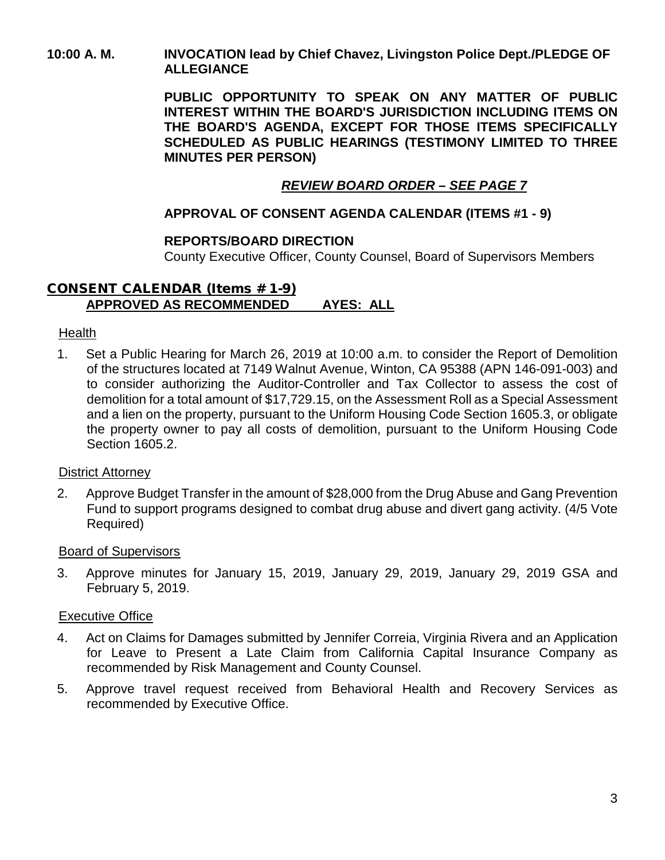### **10:00 A. M. INVOCATION lead by Chief Chavez, Livingston Police Dept./PLEDGE OF ALLEGIANCE**

**PUBLIC OPPORTUNITY TO SPEAK ON ANY MATTER OF PUBLIC INTEREST WITHIN THE BOARD'S JURISDICTION INCLUDING ITEMS ON THE BOARD'S AGENDA, EXCEPT FOR THOSE ITEMS SPECIFICALLY SCHEDULED AS PUBLIC HEARINGS (TESTIMONY LIMITED TO THREE MINUTES PER PERSON)**

# *REVIEW BOARD ORDER – SEE PAGE 7*

## **APPROVAL OF CONSENT AGENDA CALENDAR (ITEMS #1 - 9)**

### **REPORTS/BOARD DIRECTION**

County Executive Officer, County Counsel, Board of Supervisors Members

### CONSENT CALENDAR (Items # 1-9) **APPROVED AS RECOMMENDED AYES: ALL**

#### Health

1. Set a Public Hearing for March 26, 2019 at 10:00 a.m. to consider the Report of Demolition of the structures located at 7149 Walnut Avenue, Winton, CA 95388 (APN 146-091-003) and to consider authorizing the Auditor-Controller and Tax Collector to assess the cost of demolition for a total amount of \$17,729.15, on the Assessment Roll as a Special Assessment and a lien on the property, pursuant to the Uniform Housing Code Section 1605.3, or obligate the property owner to pay all costs of demolition, pursuant to the Uniform Housing Code Section 1605.2.

#### District Attorney

2. Approve Budget Transfer in the amount of \$28,000 from the Drug Abuse and Gang Prevention Fund to support programs designed to combat drug abuse and divert gang activity. (4/5 Vote Required)

#### Board of Supervisors

3. Approve minutes for January 15, 2019, January 29, 2019, January 29, 2019 GSA and February 5, 2019.

#### Executive Office

- 4. Act on Claims for Damages submitted by Jennifer Correia, Virginia Rivera and an Application for Leave to Present a Late Claim from California Capital Insurance Company as recommended by Risk Management and County Counsel.
- 5. Approve travel request received from Behavioral Health and Recovery Services as recommended by Executive Office.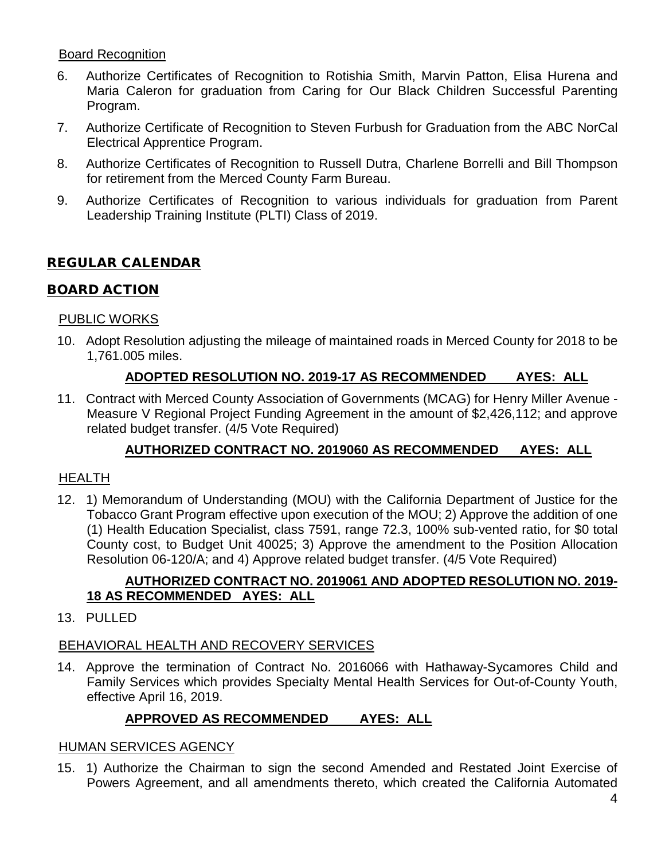# Board Recognition

- 6. Authorize Certificates of Recognition to Rotishia Smith, Marvin Patton, Elisa Hurena and Maria Caleron for graduation from Caring for Our Black Children Successful Parenting Program.
- 7. Authorize Certificate of Recognition to Steven Furbush for Graduation from the ABC NorCal Electrical Apprentice Program.
- 8. Authorize Certificates of Recognition to Russell Dutra, Charlene Borrelli and Bill Thompson for retirement from the Merced County Farm Bureau.
- 9. Authorize Certificates of Recognition to various individuals for graduation from Parent Leadership Training Institute (PLTI) Class of 2019.

# REGULAR CALENDAR

### BOARD ACTION

### PUBLIC WORKS

10. Adopt Resolution adjusting the mileage of maintained roads in Merced County for 2018 to be 1,761.005 miles.

### **ADOPTED RESOLUTION NO. 2019-17 AS RECOMMENDED AYES: ALL**

11. Contract with Merced County Association of Governments (MCAG) for Henry Miller Avenue - Measure V Regional Project Funding Agreement in the amount of \$2,426,112; and approve related budget transfer. (4/5 Vote Required)

# **AUTHORIZED CONTRACT NO. 2019060 AS RECOMMENDED AYES: ALL**

### HEALTH

12. 1) Memorandum of Understanding (MOU) with the California Department of Justice for the Tobacco Grant Program effective upon execution of the MOU; 2) Approve the addition of one (1) Health Education Specialist, class 7591, range 72.3, 100% sub-vented ratio, for \$0 total County cost, to Budget Unit 40025; 3) Approve the amendment to the Position Allocation Resolution 06-120/A; and 4) Approve related budget transfer. (4/5 Vote Required)

### **AUTHORIZED CONTRACT NO. 2019061 AND ADOPTED RESOLUTION NO. 2019- 18 AS RECOMMENDED AYES: ALL**

### 13. PULLED

# BEHAVIORAL HEALTH AND RECOVERY SERVICES

14. Approve the termination of Contract No. 2016066 with Hathaway-Sycamores Child and Family Services which provides Specialty Mental Health Services for Out-of-County Youth, effective April 16, 2019.

# **APPROVED AS RECOMMENDED AYES: ALL**

### HUMAN SERVICES AGENCY

15. 1) Authorize the Chairman to sign the second Amended and Restated Joint Exercise of Powers Agreement, and all amendments thereto, which created the California Automated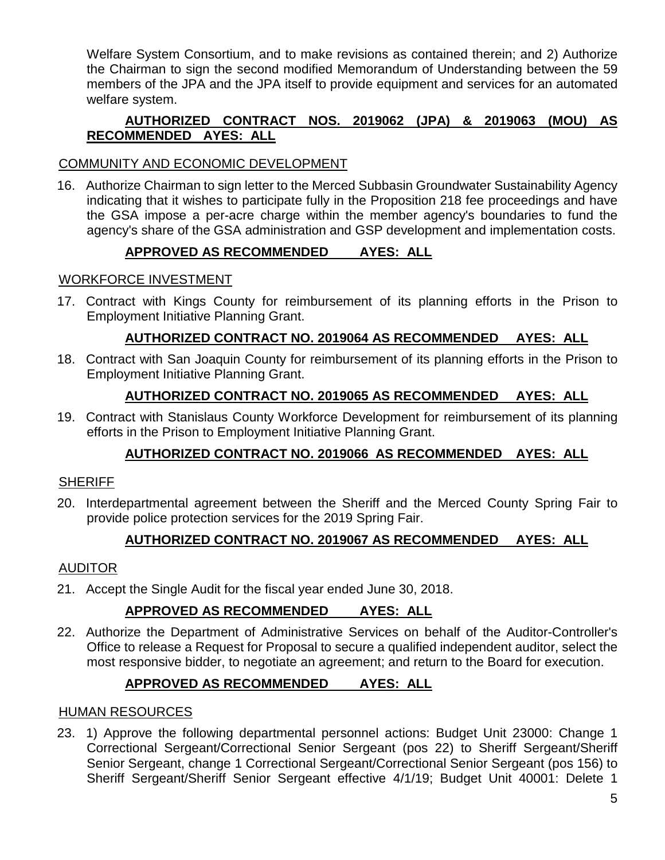Welfare System Consortium, and to make revisions as contained therein; and 2) Authorize the Chairman to sign the second modified Memorandum of Understanding between the 59 members of the JPA and the JPA itself to provide equipment and services for an automated welfare system.

# **AUTHORIZED CONTRACT NOS. 2019062 (JPA) & 2019063 (MOU) AS RECOMMENDED AYES: ALL**

# COMMUNITY AND ECONOMIC DEVELOPMENT

16. Authorize Chairman to sign letter to the Merced Subbasin Groundwater Sustainability Agency indicating that it wishes to participate fully in the Proposition 218 fee proceedings and have the GSA impose a per-acre charge within the member agency's boundaries to fund the agency's share of the GSA administration and GSP development and implementation costs.

### **APPROVED AS RECOMMENDED AYES: ALL**

# WORKFORCE INVESTMENT

17. Contract with Kings County for reimbursement of its planning efforts in the Prison to Employment Initiative Planning Grant.

# **AUTHORIZED CONTRACT NO. 2019064 AS RECOMMENDED AYES: ALL**

18. Contract with San Joaquin County for reimbursement of its planning efforts in the Prison to Employment Initiative Planning Grant.

# **AUTHORIZED CONTRACT NO. 2019065 AS RECOMMENDED AYES: ALL**

19. Contract with Stanislaus County Workforce Development for reimbursement of its planning efforts in the Prison to Employment Initiative Planning Grant.

# **AUTHORIZED CONTRACT NO. 2019066 AS RECOMMENDED AYES: ALL**

### **SHERIFF**

20. Interdepartmental agreement between the Sheriff and the Merced County Spring Fair to provide police protection services for the 2019 Spring Fair.

# **AUTHORIZED CONTRACT NO. 2019067 AS RECOMMENDED AYES: ALL**

# AUDITOR

21. Accept the Single Audit for the fiscal year ended June 30, 2018.

# **APPROVED AS RECOMMENDED AYES: ALL**

22. Authorize the Department of Administrative Services on behalf of the Auditor-Controller's Office to release a Request for Proposal to secure a qualified independent auditor, select the most responsive bidder, to negotiate an agreement; and return to the Board for execution.

# **APPROVED AS RECOMMENDED AYES: ALL**

### HUMAN RESOURCES

23. 1) Approve the following departmental personnel actions: Budget Unit 23000: Change 1 Correctional Sergeant/Correctional Senior Sergeant (pos 22) to Sheriff Sergeant/Sheriff Senior Sergeant, change 1 Correctional Sergeant/Correctional Senior Sergeant (pos 156) to Sheriff Sergeant/Sheriff Senior Sergeant effective 4/1/19; Budget Unit 40001: Delete 1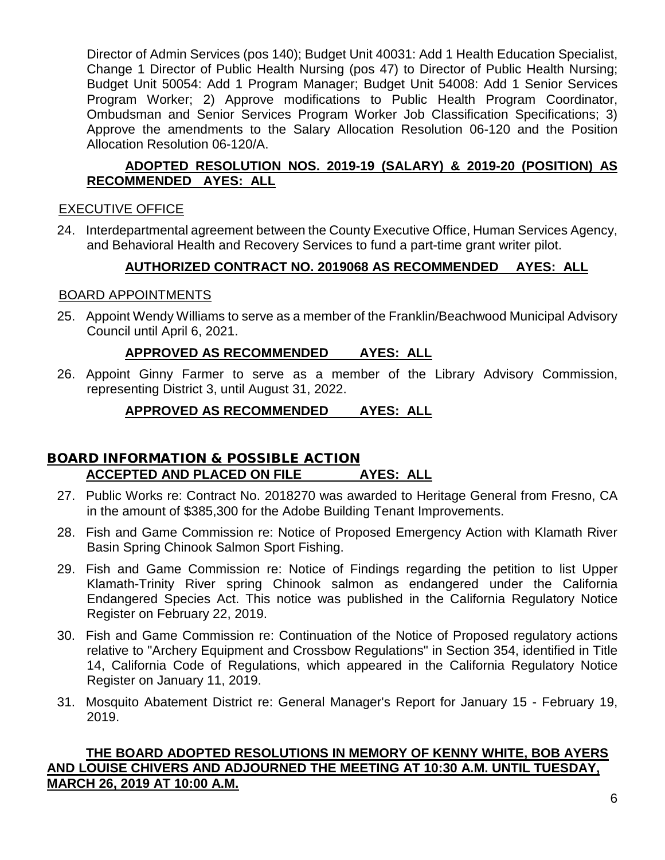Director of Admin Services (pos 140); Budget Unit 40031: Add 1 Health Education Specialist, Change 1 Director of Public Health Nursing (pos 47) to Director of Public Health Nursing; Budget Unit 50054: Add 1 Program Manager; Budget Unit 54008: Add 1 Senior Services Program Worker; 2) Approve modifications to Public Health Program Coordinator, Ombudsman and Senior Services Program Worker Job Classification Specifications; 3) Approve the amendments to the Salary Allocation Resolution 06-120 and the Position Allocation Resolution 06-120/A.

# **ADOPTED RESOLUTION NOS. 2019-19 (SALARY) & 2019-20 (POSITION) AS RECOMMENDED AYES: ALL**

# EXECUTIVE OFFICE

24. Interdepartmental agreement between the County Executive Office, Human Services Agency, and Behavioral Health and Recovery Services to fund a part-time grant writer pilot.

# **AUTHORIZED CONTRACT NO. 2019068 AS RECOMMENDED AYES: ALL**

### BOARD APPOINTMENTS

25. Appoint Wendy Williams to serve as a member of the Franklin/Beachwood Municipal Advisory Council until April 6, 2021.

# **APPROVED AS RECOMMENDED AYES: ALL**

26. Appoint Ginny Farmer to serve as a member of the Library Advisory Commission, representing District 3, until August 31, 2022.

# **APPROVED AS RECOMMENDED AYES: ALL**

# BOARD INFORMATION & POSSIBLE ACTION **ACCEPTED AND PLACED ON FILE AYES: ALL**

- 27. Public Works re: Contract No. 2018270 was awarded to Heritage General from Fresno, CA in the amount of \$385,300 for the Adobe Building Tenant Improvements.
- 28. Fish and Game Commission re: Notice of Proposed Emergency Action with Klamath River Basin Spring Chinook Salmon Sport Fishing.
- 29. Fish and Game Commission re: Notice of Findings regarding the petition to list Upper Klamath-Trinity River spring Chinook salmon as endangered under the California Endangered Species Act. This notice was published in the California Regulatory Notice Register on February 22, 2019.
- 30. Fish and Game Commission re: Continuation of the Notice of Proposed regulatory actions relative to "Archery Equipment and Crossbow Regulations" in Section 354, identified in Title 14, California Code of Regulations, which appeared in the California Regulatory Notice Register on January 11, 2019.
- 31. Mosquito Abatement District re: General Manager's Report for January 15 February 19, 2019.

### **THE BOARD ADOPTED RESOLUTIONS IN MEMORY OF KENNY WHITE, BOB AYERS AND LOUISE CHIVERS AND ADJOURNED THE MEETING AT 10:30 A.M. UNTIL TUESDAY, MARCH 26, 2019 AT 10:00 A.M.**